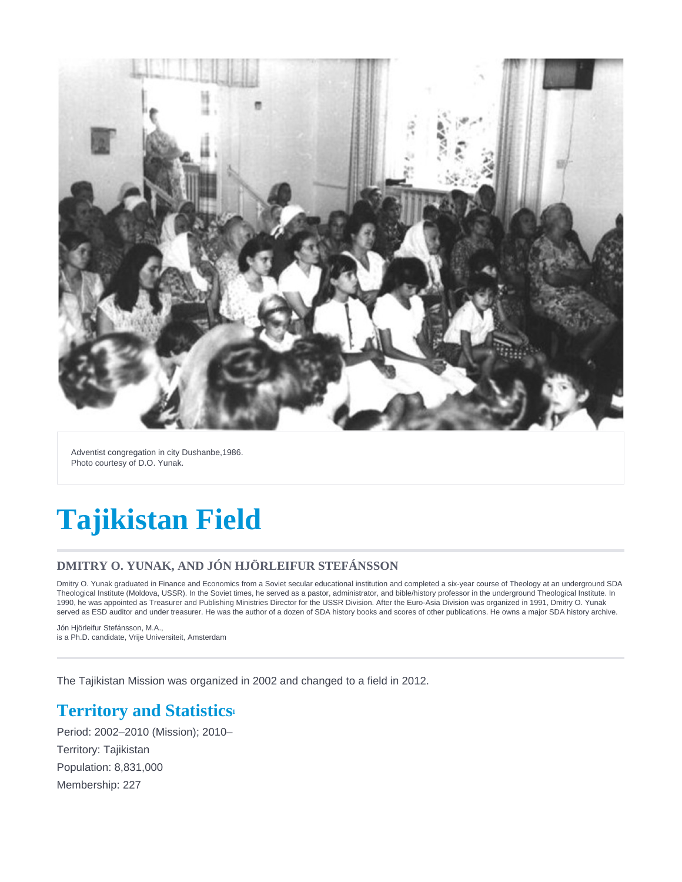<span id="page-0-0"></span>Adventist congregation in city Dushanbe,1986. Photo courtesy of D.O. Yunak.

# Tajikistan Field

#### DMITRY O. YUNAK, AND JÓN HJÖRLEIFUR STEFÁNSSON

Dmitry O. Yunak graduated in Finance and Economics from a Soviet secular educational institution and completed a six-year course of Theology at an underground SDA Theological Institute (Moldova, USSR). In the Soviet times, he served as a pastor, administrator, and bible/history professor in the underground Theological Institute. In 1990, he was appointed as Treasurer and Publishing Ministries Director for the USSR Division. After the Euro-Asia Division was organized in 1991, Dmitry O. Yunak served as ESD auditor and under treasurer. He was the author of a dozen of SDA history books and scores of other publications. He owns a major SDA history archive.

Jón Hjörleifur Stefánsson, M.A., is a Ph.D. candidate, Vrije Universiteit, Amsterdam

The Tajikistan Mission was organized in 2002 and changed to a field in 2012.

## **Territory and Statistics**<sup>[1](#page-2-0)</sup>

Period: 2002–2010 (Mission); 2010– Territory: Tajikistan Population: 8,831,000 Membership: 227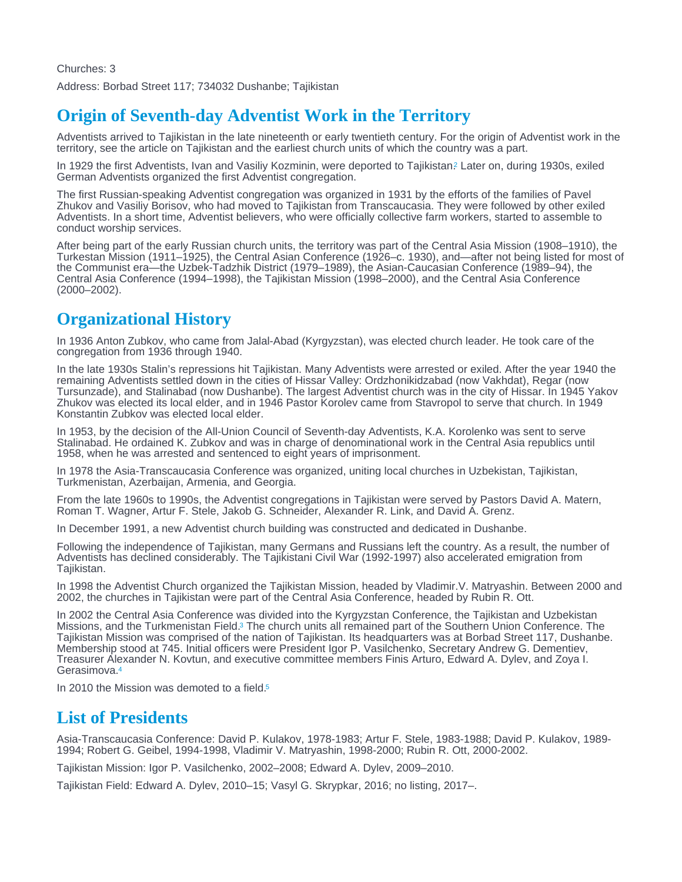<span id="page-1-0"></span>Churches: 3 Address: Borbad Street 117; 734032 Dushanbe; Tajikistan

## Origin of Seventh-day Adventist Work in the Territory

Adventists arrived to Tajikistan in the late nineteenth or early twentieth century. For the origin of Adventist work in the territory, see the article on Tajikistan and the earliest church units of which the country was a part.

In 1929 the first Adventists, Ivan and Vasiliy Kozminin, were deported to Tajikistan? Later on, during 1930s, exiled German Adventists organized the first Adventist congregation.

The first Russian-speaking Adventist congregation was organized in 1931 by the efforts of the families of Pavel Zhukov and Vasiliy Borisov, who had moved to Tajikistan from Transcaucasia. They were followed by other exiled Adventists. In a short time, Adventist believers, who were officially collective farm workers, started to assemble to conduct worship services.

After being part of the early Russian church units, the territory was part of the Central Asia Mission (1908–1910), the Turkestan Mission (1911–1925), the Central Asian Conference (1926–c. 1930), and—after not being listed for most of the Communist era—the Uzbek-Tadzhik District (1979–1989), the Asian-Caucasian Conference (1989–94), the Central Asia Conference (1994–1998), the Tajikistan Mission (1998–2000), and the Central Asia Conference (2000–2002).

## Organizational History

In 1936 Anton Zubkov, who came from Jalal-Abad (Kyrgyzstan), was elected church leader. He took care of the congregation from 1936 through 1940.

In the late 1930s Stalin's repressions hit Tajikistan. Many Adventists were arrested or exiled. After the year 1940 the remaining Adventists settled down in the cities of Hissar Valley: Ordzhonikidzabad (now Vakhdat), Regar (now Tursunzade), and Stalinabad (now Dushanbe). The largest Adventist church was in the city of Hissar. In 1945 Yakov Zhukov was elected its local elder, and in 1946 Pastor Korolev came from Stavropol to serve that church. In 1949 Konstantin Zubkov was elected local elder.

In 1953, by the decision of the All-Union Council of Seventh-day Adventists, K.A. Korolenko was sent to serve Stalinabad. He ordained K. Zubkov and was in charge of denominational work in the Central Asia republics until 1958, when he was arrested and sentenced to eight years of imprisonment.

In 1978 the Asia-Transcaucasia Conference was organized, uniting local churches in Uzbekistan, Tajikistan, Turkmenistan, Azerbaijan, Armenia, and Georgia.

From the late 1960s to 1990s, the Adventist congregations in Tajikistan were served by Pastors David A. Matern, Roman T. Wagner, Artur F. Stele, Jakob G. Schneider, Alexander R. Link, and David A. Grenz.

In December 1991, a new Adventist church building was constructed and dedicated in Dushanbe.

Following the independence of Tajikistan, many Germans and Russians left the country. As a result, the number of Adventists has declined considerably. The Tajikistani Civil War (1992-1997) also accelerated emigration from Tajikistan.

In 1998 the Adventist Church organized the Tajikistan Mission, headed by Vladimir.V. Matryashin. Between 2000 and 2002, the churches in Tajikistan were part of the Central Asia Conference, headed by Rubin R. Ott.

In 2002 the Central Asia Conference was divided into the Kyrgyzstan Conference, the Tajikistan and Uzbekistan Missions, and the Turkmenistan Field.<sup>3</sup> The church units all remained part of the Southern Union Conference[.](#page-2-0) The Tajikistan Mission was comprised of the nation of Tajikistan. Its headquarters was at Borbad Street 117, Dushanbe. Membership stood at 745. Initial officers were President Igor P. Vasilchenko, Secretary Andrew G. Dementiev, Treasurer Alexander N. Kovtun, and executive committee members Finis Arturo, Edward A. Dylev, and Zoya I. Gerasimova. [4](#page-2-0)

In 2010 the Mission was demoted to a field.<sup>[5](#page-2-0)</sup>

## List of Presidents

Asia-Transcaucasia Conference: David P. Kulakov, 1978-1983; Artur F. Stele, 1983-1988; David P. Kulakov, 1989- 1994; Robert G. Geibel, 1994-1998, Vladimir V. Matryashin, 1998-2000; Rubin R. Ott, 2000-2002.

Tajikistan Mission: Igor P. Vasilchenko, 2002–2008; Edward A. Dylev, 2009–2010.

Tajikistan Field: Edward A. Dylev, 2010–15; Vasyl G. Skrypkar, 2016; no listing, 2017–.